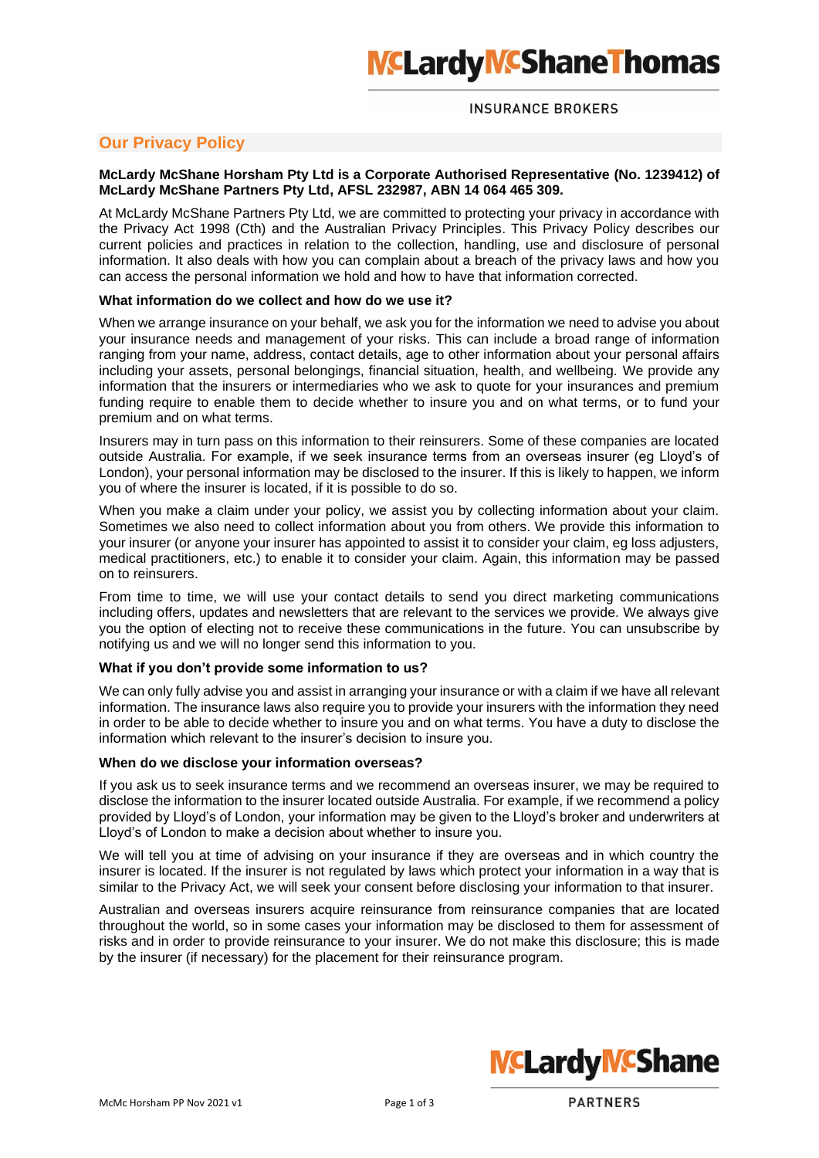# **INSURANCE BROKERS**

# **Our Privacy Policy**

# **McLardy McShane Horsham Pty Ltd is a Corporate Authorised Representative (No. 1239412) of McLardy McShane Partners Pty Ltd, AFSL 232987, ABN 14 064 465 309.**

At McLardy McShane Partners Pty Ltd, we are committed to protecting your privacy in accordance with the Privacy Act 1998 (Cth) and the Australian Privacy Principles. This Privacy Policy describes our current policies and practices in relation to the collection, handling, use and disclosure of personal information. It also deals with how you can complain about a breach of the privacy laws and how you can access the personal information we hold and how to have that information corrected.

# **What information do we collect and how do we use it?**

When we arrange insurance on your behalf, we ask you for the information we need to advise you about your insurance needs and management of your risks. This can include a broad range of information ranging from your name, address, contact details, age to other information about your personal affairs including your assets, personal belongings, financial situation, health, and wellbeing. We provide any information that the insurers or intermediaries who we ask to quote for your insurances and premium funding require to enable them to decide whether to insure you and on what terms, or to fund your premium and on what terms.

Insurers may in turn pass on this information to their reinsurers. Some of these companies are located outside Australia. For example, if we seek insurance terms from an overseas insurer (eg Lloyd's of London), your personal information may be disclosed to the insurer. If this is likely to happen, we inform you of where the insurer is located, if it is possible to do so.

When you make a claim under your policy, we assist you by collecting information about your claim. Sometimes we also need to collect information about you from others. We provide this information to your insurer (or anyone your insurer has appointed to assist it to consider your claim, eg loss adjusters, medical practitioners, etc.) to enable it to consider your claim. Again, this information may be passed on to reinsurers.

From time to time, we will use your contact details to send you direct marketing communications including offers, updates and newsletters that are relevant to the services we provide. We always give you the option of electing not to receive these communications in the future. You can unsubscribe by notifying us and we will no longer send this information to you.

# **What if you don't provide some information to us?**

We can only fully advise you and assist in arranging your insurance or with a claim if we have all relevant information. The insurance laws also require you to provide your insurers with the information they need in order to be able to decide whether to insure you and on what terms. You have a duty to disclose the information which relevant to the insurer's decision to insure you.

# **When do we disclose your information overseas?**

If you ask us to seek insurance terms and we recommend an overseas insurer, we may be required to disclose the information to the insurer located outside Australia. For example, if we recommend a policy provided by Lloyd's of London, your information may be given to the Lloyd's broker and underwriters at Lloyd's of London to make a decision about whether to insure you.

We will tell you at time of advising on your insurance if they are overseas and in which country the insurer is located. If the insurer is not regulated by laws which protect your information in a way that is similar to the Privacy Act, we will seek your consent before disclosing your information to that insurer.

Australian and overseas insurers acquire reinsurance from reinsurance companies that are located throughout the world, so in some cases your information may be disclosed to them for assessment of risks and in order to provide reinsurance to your insurer. We do not make this disclosure; this is made by the insurer (if necessary) for the placement for their reinsurance program.



**PARTNERS**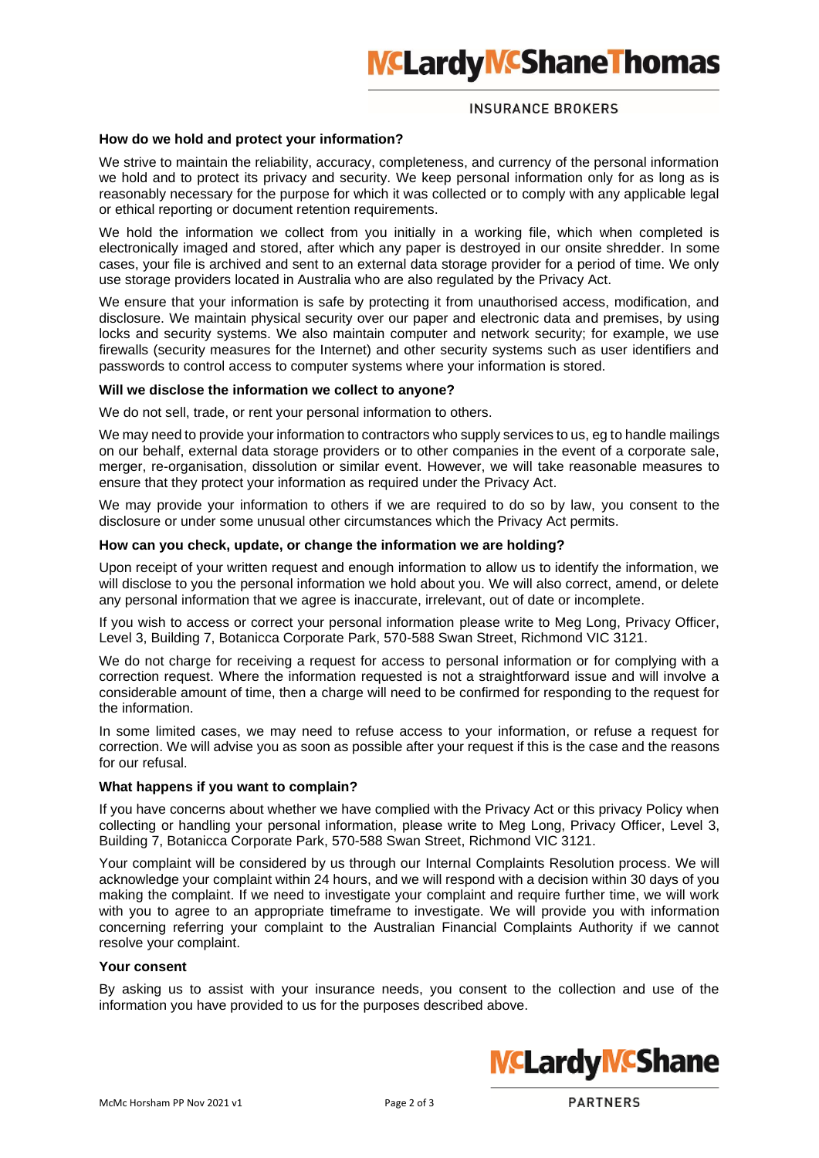# **NCLardy MCShane Thomas**

## **INSURANCE BROKERS**

#### **How do we hold and protect your information?**

We strive to maintain the reliability, accuracy, completeness, and currency of the personal information we hold and to protect its privacy and security. We keep personal information only for as long as is reasonably necessary for the purpose for which it was collected or to comply with any applicable legal or ethical reporting or document retention requirements.

We hold the information we collect from you initially in a working file, which when completed is electronically imaged and stored, after which any paper is destroyed in our onsite shredder. In some cases, your file is archived and sent to an external data storage provider for a period of time. We only use storage providers located in Australia who are also regulated by the Privacy Act.

We ensure that your information is safe by protecting it from unauthorised access, modification, and disclosure. We maintain physical security over our paper and electronic data and premises, by using locks and security systems. We also maintain computer and network security; for example, we use firewalls (security measures for the Internet) and other security systems such as user identifiers and passwords to control access to computer systems where your information is stored.

#### **Will we disclose the information we collect to anyone?**

We do not sell, trade, or rent your personal information to others.

We may need to provide your information to contractors who supply services to us, eg to handle mailings on our behalf, external data storage providers or to other companies in the event of a corporate sale, merger, re-organisation, dissolution or similar event. However, we will take reasonable measures to ensure that they protect your information as required under the Privacy Act.

We may provide your information to others if we are required to do so by law, you consent to the disclosure or under some unusual other circumstances which the Privacy Act permits.

#### **How can you check, update, or change the information we are holding?**

Upon receipt of your written request and enough information to allow us to identify the information, we will disclose to you the personal information we hold about you. We will also correct, amend, or delete any personal information that we agree is inaccurate, irrelevant, out of date or incomplete.

If you wish to access or correct your personal information please write to Meg Long, Privacy Officer, Level 3, Building 7, Botanicca Corporate Park, 570-588 Swan Street, Richmond VIC 3121.

We do not charge for receiving a request for access to personal information or for complying with a correction request. Where the information requested is not a straightforward issue and will involve a considerable amount of time, then a charge will need to be confirmed for responding to the request for the information.

In some limited cases, we may need to refuse access to your information, or refuse a request for correction. We will advise you as soon as possible after your request if this is the case and the reasons for our refusal.

#### **What happens if you want to complain?**

If you have concerns about whether we have complied with the Privacy Act or this privacy Policy when collecting or handling your personal information, please write to Meg Long, Privacy Officer, Level 3, Building 7, Botanicca Corporate Park, 570-588 Swan Street, Richmond VIC 3121.

Your complaint will be considered by us through our Internal Complaints Resolution process. We will acknowledge your complaint within 24 hours, and we will respond with a decision within 30 days of you making the complaint. If we need to investigate your complaint and require further time, we will work with you to agree to an appropriate timeframe to investigate. We will provide you with information concerning referring your complaint to the Australian Financial Complaints Authority if we cannot resolve your complaint.

# **Your consent**

By asking us to assist with your insurance needs, you consent to the collection and use of the information you have provided to us for the purposes described above.